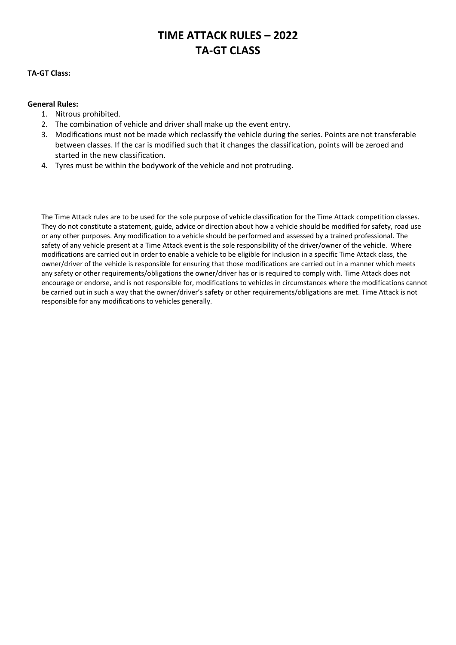# **TIME ATTACK RULES – 2022 TA-GT CLASS**

#### **TA-GT Class:**

#### **General Rules:**

- 1. Nitrous prohibited.
- 2. The combination of vehicle and driver shall make up the event entry.
- 3. Modifications must not be made which reclassify the vehicle during the series. Points are not transferable between classes. If the car is modified such that it changes the classification, points will be zeroed and started in the new classification.
- 4. Tyres must be within the bodywork of the vehicle and not protruding.

The Time Attack rules are to be used for the sole purpose of vehicle classification for the Time Attack competition classes. They do not constitute a statement, guide, advice or direction about how a vehicle should be modified for safety, road use or any other purposes. Any modification to a vehicle should be performed and assessed by a trained professional. The safety of any vehicle present at a Time Attack event is the sole responsibility of the driver/owner of the vehicle. Where modifications are carried out in order to enable a vehicle to be eligible for inclusion in a specific Time Attack class, the owner/driver of the vehicle is responsible for ensuring that those modifications are carried out in a manner which meets any safety or other requirements/obligations the owner/driver has or is required to comply with. Time Attack does not encourage or endorse, and is not responsible for, modifications to vehicles in circumstances where the modifications cannot be carried out in such a way that the owner/driver's safety or other requirements/obligations are met. Time Attack is not responsible for any modifications to vehicles generally.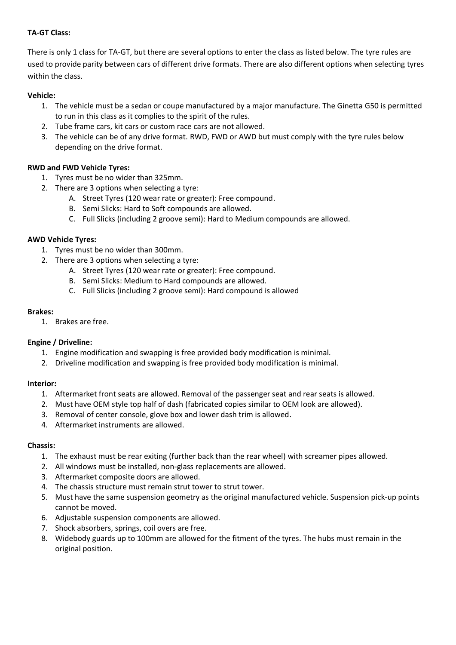# **TA-GT Class:**

There is only 1 class for TA-GT, but there are several options to enter the class as listed below. The tyre rules are used to provide parity between cars of different drive formats. There are also different options when selecting tyres within the class.

# **Vehicle:**

- 1. The vehicle must be a sedan or coupe manufactured by a major manufacture. The Ginetta G50 is permitted to run in this class as it complies to the spirit of the rules.
- 2. Tube frame cars, kit cars or custom race cars are not allowed.
- 3. The vehicle can be of any drive format. RWD, FWD or AWD but must comply with the tyre rules below depending on the drive format.

# **RWD and FWD Vehicle Tyres:**

- 1. Tyres must be no wider than 325mm.
- 2. There are 3 options when selecting a tyre:
	- A. Street Tyres (120 wear rate or greater): Free compound.
	- B. Semi Slicks: Hard to Soft compounds are allowed.
	- C. Full Slicks (including 2 groove semi): Hard to Medium compounds are allowed.

## **AWD Vehicle Tyres:**

- 1. Tyres must be no wider than 300mm.
- 2. There are 3 options when selecting a tyre:
	- A. Street Tyres (120 wear rate or greater): Free compound.
	- B. Semi Slicks: Medium to Hard compounds are allowed.
	- C. Full Slicks (including 2 groove semi): Hard compound is allowed

## **Brakes:**

1. Brakes are free.

## **Engine / Driveline:**

- 1. Engine modification and swapping is free provided body modification is minimal.
- 2. Driveline modification and swapping is free provided body modification is minimal.

## **Interior:**

- 1. Aftermarket front seats are allowed. Removal of the passenger seat and rear seats is allowed.
- 2. Must have OEM style top half of dash (fabricated copies similar to OEM look are allowed).
- 3. Removal of center console, glove box and lower dash trim is allowed.
- 4. Aftermarket instruments are allowed.

## **Chassis:**

- 1. The exhaust must be rear exiting (further back than the rear wheel) with screamer pipes allowed.
- 2. All windows must be installed, non-glass replacements are allowed.
- 3. Aftermarket composite doors are allowed.
- 4. The chassis structure must remain strut tower to strut tower.
- 5. Must have the same suspension geometry as the original manufactured vehicle. Suspension pick-up points cannot be moved.
- 6. Adjustable suspension components are allowed.
- 7. Shock absorbers, springs, coil overs are free.
- 8. Widebody guards up to 100mm are allowed for the fitment of the tyres. The hubs must remain in the original position.